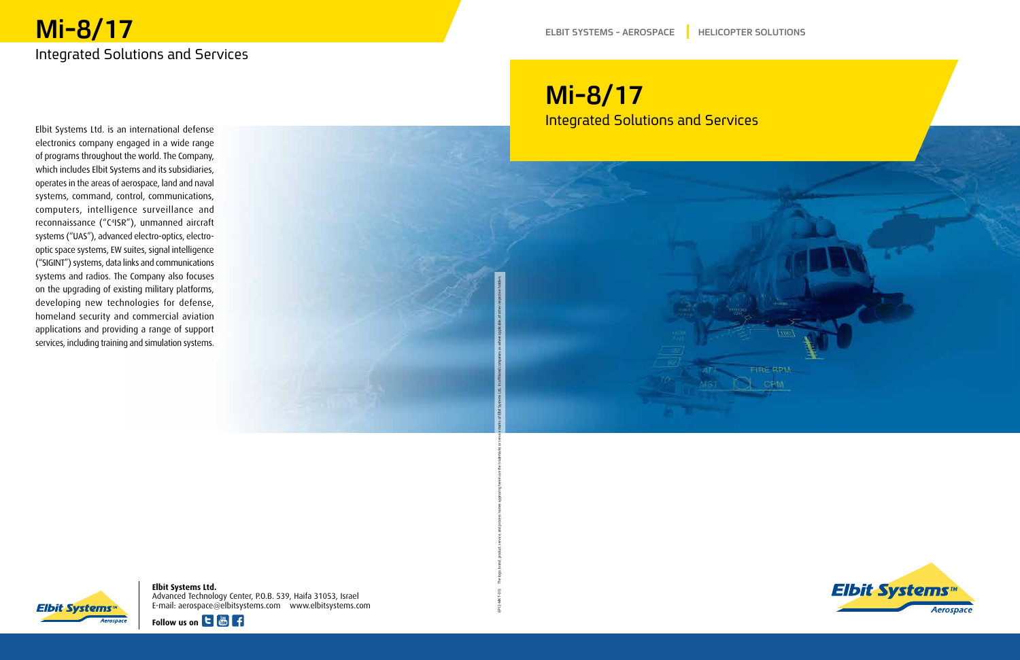## **Mi-8/17** Integrated Solutions and Services

Elbit Systems Ltd. is an international defense electronics company engaged in a wide range of programs throughout the world. The Company, which includes Elbit Systems and its subsidiaries, operates in the areas of aerospace, land and naval systems, command, control, communications, computers, intelligence surveillance and reconnaissance ("C<sup>4</sup>ISR"), unmanned aircraft optic space systems, EW suites, signal intelligence systems ("UAS"), advanced electro-optics, electro-("SIGINT") systems, data links and communications systems and radios. The Company also focuses on the upgrading of existing military platforms, developing new technologies for defense, homeland security and commercial aviation applications and providing a range of support services, including training and simulation systems.

# **Mi-8/17 Integrated Solutions and Services**

. EP12-MKT-013 The logo, brand, product, service, and process names appearing the trademarks or service marks of Elbit Systems Ltd, its affiliated companies or, where applicable, of other respective holders

**Elbit Systems** 

**Elbit Systems Ltd.** Advanced Technology Center, P.O.B. 539, Haifa 31053, Israel com.elbitsystems.www com.elbitsystems@aerospace :mail-E